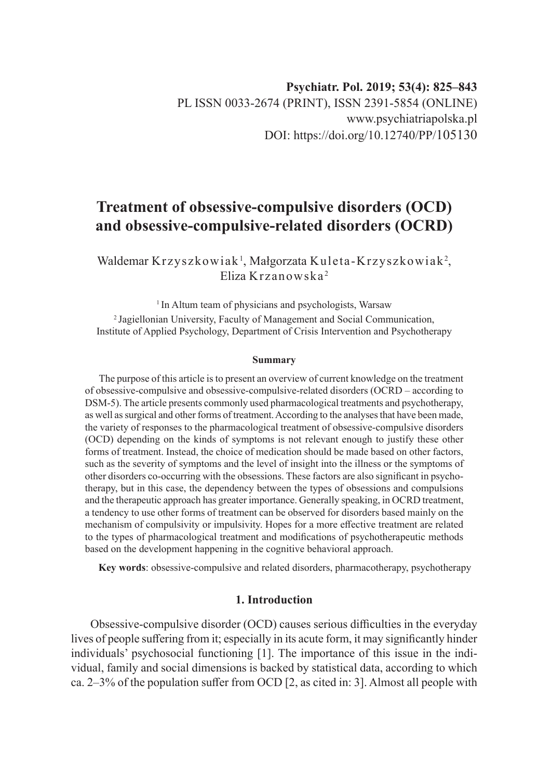# **Treatment of obsessive-compulsive disorders (OCD) and obsessive-compulsive-related disorders (OCRD)**

Waldemar  $\rm Krzyszkowiak^1,$  Małgorzata  $\rm K$ uleta- $\rm Krzyszkowiak^2,$ Eliza Krzanowska <sup>2</sup>

<sup>1</sup> In Altum team of physicians and psychologists, Warsaw 2 Jagiellonian University, Faculty of Management and Social Communication, Institute of Applied Psychology, Department of Crisis Intervention and Psychotherapy

#### **Summary**

The purpose of this article is to present an overview of current knowledge on the treatment of obsessive-compulsive and obsessive-compulsive-related disorders (OCRD – according to DSM-5). The article presents commonly used pharmacological treatments and psychotherapy, as well as surgical and other forms of treatment. According to the analyses that have been made, the variety of responses to the pharmacological treatment of obsessive-compulsive disorders (OCD) depending on the kinds of symptoms is not relevant enough to justify these other forms of treatment. Instead, the choice of medication should be made based on other factors, such as the severity of symptoms and the level of insight into the illness or the symptoms of other disorders co-occurring with the obsessions. These factors are also significant in psychotherapy, but in this case, the dependency between the types of obsessions and compulsions and the therapeutic approach has greater importance. Generally speaking, in OCRD treatment, a tendency to use other forms of treatment can be observed for disorders based mainly on the mechanism of compulsivity or impulsivity. Hopes for a more effective treatment are related to the types of pharmacological treatment and modifications of psychotherapeutic methods based on the development happening in the cognitive behavioral approach.

**Key words**: obsessive-compulsive and related disorders, pharmacotherapy, psychotherapy

# **1. Introduction**

Obsessive-compulsive disorder (OCD) causes serious difficulties in the everyday lives of people suffering from it; especially in its acute form, it may significantly hinder individuals' psychosocial functioning [1]. The importance of this issue in the individual, family and social dimensions is backed by statistical data, according to which ca.  $2-3\%$  of the population suffer from OCD [2, as cited in: 3]. Almost all people with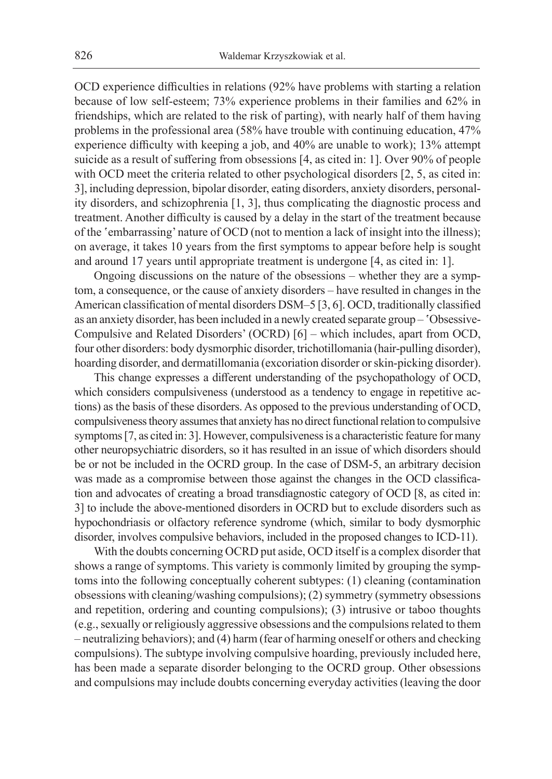OCD experience difficulties in relations (92% have problems with starting a relation because of low self-esteem; 73% experience problems in their families and 62% in friendships, which are related to the risk of parting), with nearly half of them having problems in the professional area (58% have trouble with continuing education, 47% experience difficulty with keeping a job, and 40% are unable to work); 13% attempt suicide as a result of suffering from obsessions [4, as cited in: 1]. Over 90% of people with OCD meet the criteria related to other psychological disorders [2, 5, as cited in: 3], including depression, bipolar disorder, eating disorders, anxiety disorders, personality disorders, and schizophrenia [1, 3], thus complicating the diagnostic process and treatment. Another difficulty is caused by a delay in the start of the treatment because of the 'embarrassing' nature of OCD (not to mention a lack of insight into the illness); on average, it takes 10 years from the first symptoms to appear before help is sought and around 17 years until appropriate treatment is undergone [4, as cited in: 1].

Ongoing discussions on the nature of the obsessions – whether they are a symptom, a consequence, or the cause of anxiety disorders – have resulted in changes in the American classification of mental disorders DSM–5 [3, 6]. OCD, traditionally classified as an anxiety disorder, has been included in a newly created separate group – 'Obsessive-Compulsive and Related Disorders' (OCRD) [6] – which includes, apart from OCD, four other disorders: body dysmorphic disorder, trichotillomania (hair-pulling disorder), hoarding disorder, and dermatillomania (excoriation disorder or skin-picking disorder).

This change expresses a different understanding of the psychopathology of OCD, which considers compulsiveness (understood as a tendency to engage in repetitive actions) as the basis of these disorders. As opposed to the previous understanding of OCD, compulsiveness theory assumes that anxiety has no direct functional relation to compulsive symptoms [7, as cited in: 3]. However, compulsiveness is a characteristic feature for many other neuropsychiatric disorders, so it has resulted in an issue of which disorders should be or not be included in the OCRD group. In the case of DSM-5, an arbitrary decision was made as a compromise between those against the changes in the OCD classification and advocates of creating a broad transdiagnostic category of OCD [8, as cited in: 3] to include the above-mentioned disorders in OCRD but to exclude disorders such as hypochondriasis or olfactory reference syndrome (which, similar to body dysmorphic disorder, involves compulsive behaviors, included in the proposed changes to ICD-11).

With the doubts concerning OCRD put aside, OCD itself is a complex disorder that shows a range of symptoms. This variety is commonly limited by grouping the symptoms into the following conceptually coherent subtypes: (1) cleaning (contamination obsessions with cleaning/washing compulsions); (2) symmetry (symmetry obsessions and repetition, ordering and counting compulsions); (3) intrusive or taboo thoughts (e.g., sexually or religiously aggressive obsessions and the compulsions related to them – neutralizing behaviors); and (4) harm (fear of harming oneself or others and checking compulsions). The subtype involving compulsive hoarding, previously included here, has been made a separate disorder belonging to the OCRD group. Other obsessions and compulsions may include doubts concerning everyday activities (leaving the door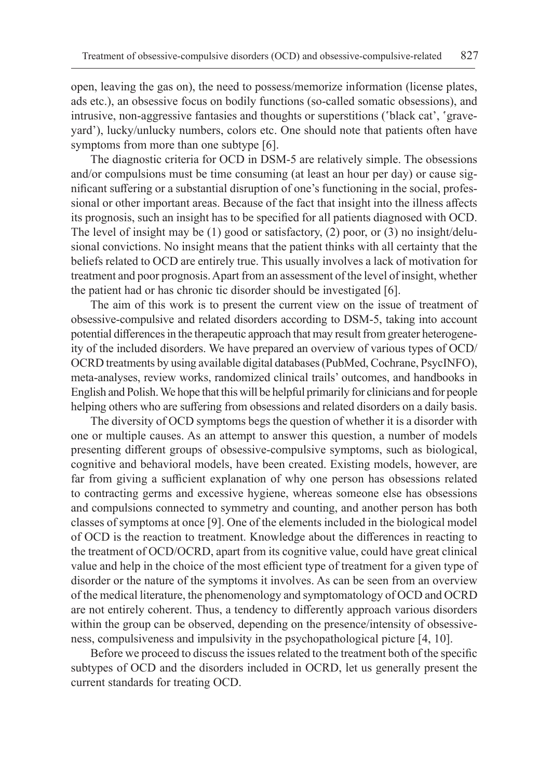open, leaving the gas on), the need to possess/memorize information (license plates, ads etc.), an obsessive focus on bodily functions (so-called somatic obsessions), and intrusive, non-aggressive fantasies and thoughts or superstitions ('black cat', 'graveyard'), lucky/unlucky numbers, colors etc. One should note that patients often have symptoms from more than one subtype [6].

The diagnostic criteria for OCD in DSM-5 are relatively simple. The obsessions and/or compulsions must be time consuming (at least an hour per day) or cause significant suffering or a substantial disruption of one's functioning in the social, professional or other important areas. Because of the fact that insight into the illness affects its prognosis, such an insight has to be specified for all patients diagnosed with OCD. The level of insight may be  $(1)$  good or satisfactory,  $(2)$  poor, or  $(3)$  no insight/delusional convictions. No insight means that the patient thinks with all certainty that the beliefs related to OCD are entirely true. This usually involves a lack of motivation for treatment and poor prognosis. Apart from an assessment of the level of insight, whether the patient had or has chronic tic disorder should be investigated [6].

The aim of this work is to present the current view on the issue of treatment of obsessive-compulsive and related disorders according to DSM-5, taking into account potential differences in the therapeutic approach that may result from greater heterogeneity of the included disorders. We have prepared an overview of various types of OCD/ OCRD treatments by using available digital databases (PubMed, Cochrane, PsycINFO), meta-analyses, review works, randomized clinical trails' outcomes, and handbooks in English and Polish. We hope that this will be helpful primarily for clinicians and for people helping others who are suffering from obsessions and related disorders on a daily basis.

The diversity of OCD symptoms begs the question of whether it is a disorder with one or multiple causes. As an attempt to answer this question, a number of models presenting different groups of obsessive-compulsive symptoms, such as biological, cognitive and behavioral models, have been created. Existing models, however, are far from giving a sufficient explanation of why one person has obsessions related to contracting germs and excessive hygiene, whereas someone else has obsessions and compulsions connected to symmetry and counting, and another person has both classes of symptoms at once [9]. One of the elements included in the biological model of OCD is the reaction to treatment. Knowledge about the differences in reacting to the treatment of OCD/OCRD, apart from its cognitive value, could have great clinical value and help in the choice of the most efficient type of treatment for a given type of disorder or the nature of the symptoms it involves. As can be seen from an overview of the medical literature, the phenomenology and symptomatology of OCD and OCRD are not entirely coherent. Thus, a tendency to differently approach various disorders within the group can be observed, depending on the presence/intensity of obsessiveness, compulsiveness and impulsivity in the psychopathological picture [4, 10].

Before we proceed to discuss the issues related to the treatment both of the specific subtypes of OCD and the disorders included in OCRD, let us generally present the current standards for treating OCD.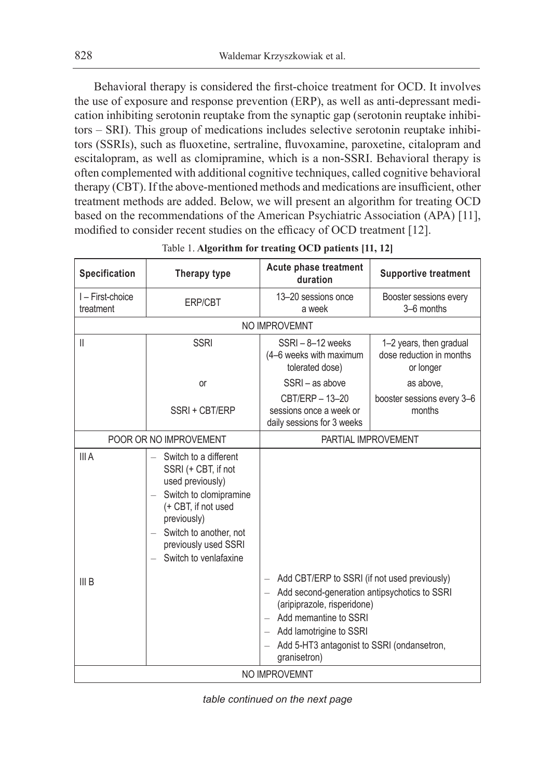Behavioral therapy is considered the first-choice treatment for OCD. It involves the use of exposure and response prevention (ERP), as well as anti-depressant medication inhibiting serotonin reuptake from the synaptic gap (serotonin reuptake inhibitors – SRI). This group of medications includes selective serotonin reuptake inhibitors (SSRIs), such as fluoxetine, sertraline, fluvoxamine, paroxetine, citalopram and escitalopram, as well as clomipramine, which is a non-SSRI. Behavioral therapy is often complemented with additional cognitive techniques, called cognitive behavioral therapy (CBT). If the above-mentioned methods and medications are insufficient, other treatment methods are added. Below, we will present an algorithm for treating OCD based on the recommendations of the American Psychiatric Association (APA) [11], modified to consider recent studies on the efficacy of OCD treatment [12].

| Specification               | Therapy type                                                                                                                                                                                                                                        | Acute phase treatment<br>duration                                                                                                                                                                                                                               | <b>Supportive treatment</b>                                      |  |
|-----------------------------|-----------------------------------------------------------------------------------------------------------------------------------------------------------------------------------------------------------------------------------------------------|-----------------------------------------------------------------------------------------------------------------------------------------------------------------------------------------------------------------------------------------------------------------|------------------------------------------------------------------|--|
| I-First-choice<br>treatment | <b>ERP/CBT</b>                                                                                                                                                                                                                                      | 13-20 sessions once<br>a week                                                                                                                                                                                                                                   | Booster sessions every<br>3-6 months                             |  |
|                             |                                                                                                                                                                                                                                                     | NO IMPROVEMNT                                                                                                                                                                                                                                                   |                                                                  |  |
| $\mathsf{II}$               | <b>SSRI</b>                                                                                                                                                                                                                                         | SSRI-8-12 weeks<br>(4–6 weeks with maximum<br>tolerated dose)                                                                                                                                                                                                   | 1-2 years, then gradual<br>dose reduction in months<br>or longer |  |
|                             | or                                                                                                                                                                                                                                                  | SSRI - as above                                                                                                                                                                                                                                                 | as above.                                                        |  |
|                             | SSRI + CBT/ERP                                                                                                                                                                                                                                      | CBT/ERP - 13-20<br>sessions once a week or<br>daily sessions for 3 weeks                                                                                                                                                                                        | booster sessions every 3-6<br>months                             |  |
| POOR OR NO IMPROVEMENT      |                                                                                                                                                                                                                                                     | PARTIAL IMPROVEMENT                                                                                                                                                                                                                                             |                                                                  |  |
| III A                       | Switch to a different<br>SSRI (+ CBT, if not<br>used previously)<br>Switch to clomipramine<br>$\equiv$<br>(+ CBT, if not used<br>previously)<br>Switch to another, not<br>$\overline{\phantom{a}}$<br>previously used SSRI<br>Switch to venlafaxine |                                                                                                                                                                                                                                                                 |                                                                  |  |
| III B                       |                                                                                                                                                                                                                                                     | - Add CBT/ERP to SSRI (if not used previously)<br>Add second-generation antipsychotics to SSRI<br>$=$<br>(aripiprazole, risperidone)<br>- Add memantine to SSRI<br>Add lamotrigine to SSRI<br>$-$<br>Add 5-HT3 antagonist to SSRI (ondansetron,<br>granisetron) |                                                                  |  |
| NO IMPROVEMNT               |                                                                                                                                                                                                                                                     |                                                                                                                                                                                                                                                                 |                                                                  |  |

Table 1. **Algorithm for treating OCD patients [11, 12]**

*table continued on the next page*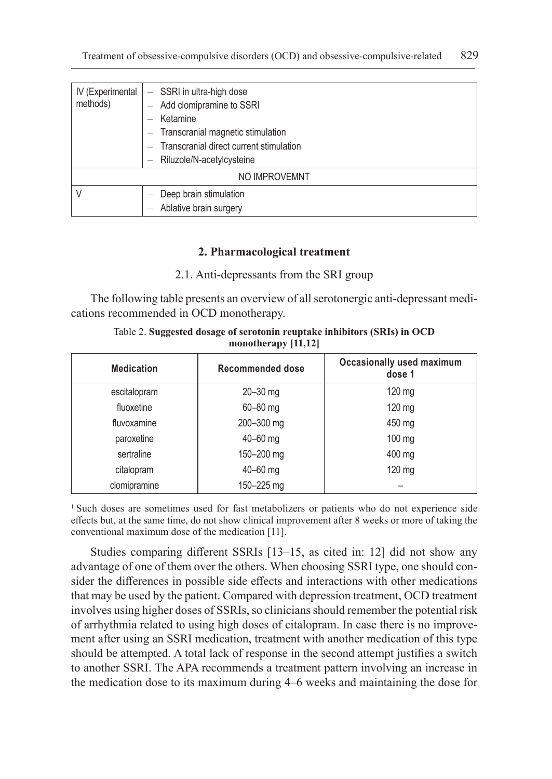| IV (Experimental | - SSRI in ultra-high dose               |  |  |  |
|------------------|-----------------------------------------|--|--|--|
| methods)         | Add clomipramine to SSRI                |  |  |  |
|                  | Ketamine                                |  |  |  |
|                  | Transcranial magnetic stimulation       |  |  |  |
|                  | Transcranial direct current stimulation |  |  |  |
|                  | Riluzole/N-acetylcysteine               |  |  |  |
| NO IMPROVEMNT    |                                         |  |  |  |
|                  | Deep brain stimulation                  |  |  |  |
|                  | Ablative brain surgery                  |  |  |  |

# **2. Pharmacological treatment**

# 2.1. Anti-depressants from the SRI group

The following table presents an overview of all serotonergic anti-depressant medications recommended in OCD monotherapy.

| <b>Medication</b> | Recommended dose | Occasionally used maximum<br>dose 1 |  |  |
|-------------------|------------------|-------------------------------------|--|--|
| escitalopram      | $20 - 30$ mg     | 120 mg                              |  |  |
| fluoxetine        | 60-80 mg         | 120 mg                              |  |  |
| fluvoxamine       | 200-300 mg       | 450 mg                              |  |  |
| paroxetine        | $40 - 60$ mg     | $100$ mg                            |  |  |
| sertraline        | 150-200 mg       | 400 mg                              |  |  |
| citalopram        | 40-60 mg         | 120 mg                              |  |  |
| clomipramine      | 150-225 mg       |                                     |  |  |

Table 2. **Suggested dosage of serotonin reuptake inhibitors (SRIs) in OCD monotherapy [11,12]**

<sup>1</sup> Such doses are sometimes used for fast metabolizers or patients who do not experience side effects but, at the same time, do not show clinical improvement after 8 weeks or more of taking the conventional maximum dose of the medication [11].

Studies comparing different SSRIs [13–15, as cited in: 12] did not show any advantage of one of them over the others. When choosing SSRI type, one should consider the differences in possible side effects and interactions with other medications that may be used by the patient. Compared with depression treatment, OCD treatment involves using higher doses of SSRIs, so clinicians should remember the potential risk of arrhythmia related to using high doses of citalopram. In case there is no improvement after using an SSRI medication, treatment with another medication of this type should be attempted. A total lack of response in the second attempt justifies a switch to another SSRI. The APA recommends a treatment pattern involving an increase in the medication dose to its maximum during 4–6 weeks and maintaining the dose for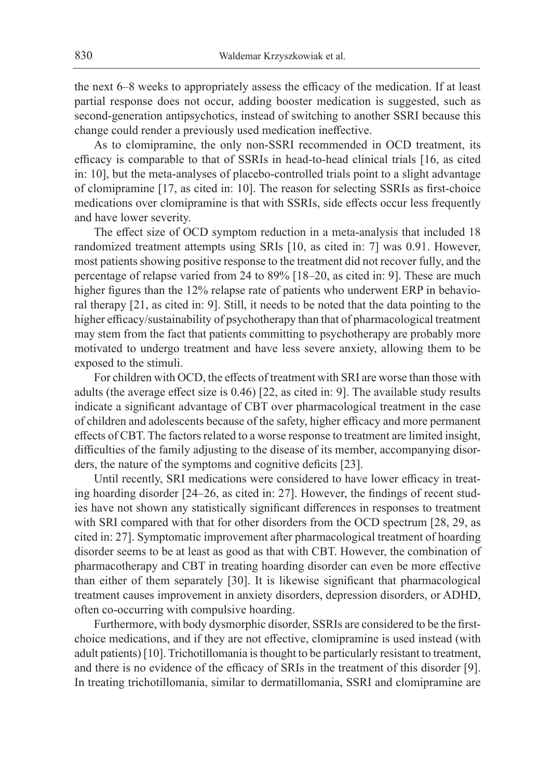the next 6–8 weeks to appropriately assess the efficacy of the medication. If at least partial response does not occur, adding booster medication is suggested, such as second-generation antipsychotics, instead of switching to another SSRI because this change could render a previously used medication ineffective.

As to clomipramine, the only non-SSRI recommended in OCD treatment, its efficacy is comparable to that of SSRIs in head-to-head clinical trials [16, as cited in: 10], but the meta-analyses of placebo-controlled trials point to a slight advantage of clomipramine [17, as cited in: 10]. The reason for selecting SSRIs as first-choice medications over clomipramine is that with SSRIs, side effects occur less frequently and have lower severity.

The effect size of OCD symptom reduction in a meta-analysis that included 18 randomized treatment attempts using SRIs [10, as cited in: 7] was 0.91. However, most patients showing positive response to the treatment did not recover fully, and the percentage of relapse varied from 24 to 89% [18–20, as cited in: 9]. These are much higher figures than the 12% relapse rate of patients who underwent ERP in behavioral therapy [21, as cited in: 9]. Still, it needs to be noted that the data pointing to the higher efficacy/sustainability of psychotherapy than that of pharmacological treatment may stem from the fact that patients committing to psychotherapy are probably more motivated to undergo treatment and have less severe anxiety, allowing them to be exposed to the stimuli.

For children with OCD, the effects of treatment with SRI are worse than those with adults (the average effect size is 0.46) [22, as cited in: 9]. The available study results indicate a significant advantage of CBT over pharmacological treatment in the case of children and adolescents because of the safety, higher efficacy and more permanent effects of CBT. The factors related to a worse response to treatment are limited insight, difficulties of the family adjusting to the disease of its member, accompanying disorders, the nature of the symptoms and cognitive deficits [23].

Until recently, SRI medications were considered to have lower efficacy in treating hoarding disorder [24–26, as cited in: 27]. However, the findings of recent studies have not shown any statistically significant differences in responses to treatment with SRI compared with that for other disorders from the OCD spectrum [28, 29, as cited in: 27]. Symptomatic improvement after pharmacological treatment of hoarding disorder seems to be at least as good as that with CBT. However, the combination of pharmacotherapy and CBT in treating hoarding disorder can even be more effective than either of them separately [30]. It is likewise significant that pharmacological treatment causes improvement in anxiety disorders, depression disorders, or ADHD, often co-occurring with compulsive hoarding.

Furthermore, with body dysmorphic disorder, SSRIs are considered to be the firstchoice medications, and if they are not effective, clomipramine is used instead (with adult patients) [10]. Trichotillomania is thought to be particularly resistant to treatment, and there is no evidence of the efficacy of SRIs in the treatment of this disorder [9]. In treating trichotillomania, similar to dermatillomania, SSRI and clomipramine are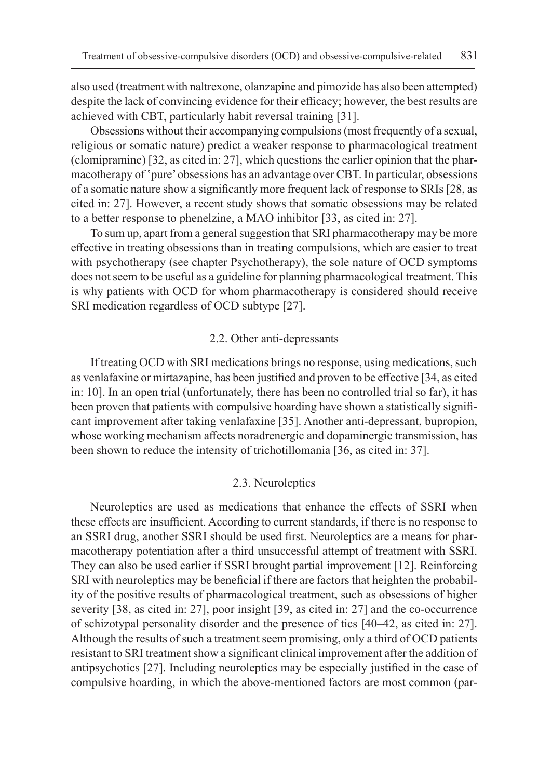also used (treatment with naltrexone, olanzapine and pimozide has also been attempted) despite the lack of convincing evidence for their efficacy; however, the best results are achieved with CBT, particularly habit reversal training [31].

Obsessions without their accompanying compulsions (most frequently of a sexual, religious or somatic nature) predict a weaker response to pharmacological treatment (clomipramine) [32, as cited in: 27], which questions the earlier opinion that the pharmacotherapy of 'pure' obsessions has an advantage over CBT. In particular, obsessions of a somatic nature show a significantly more frequent lack of response to SRIs [28, as cited in: 27]. However, a recent study shows that somatic obsessions may be related to a better response to phenelzine, a MAO inhibitor [33, as cited in: 27].

To sum up, apart from a general suggestion that SRI pharmacotherapy may be more effective in treating obsessions than in treating compulsions, which are easier to treat with psychotherapy (see chapter Psychotherapy), the sole nature of OCD symptoms does not seem to be useful as a guideline for planning pharmacological treatment. This is why patients with OCD for whom pharmacotherapy is considered should receive SRI medication regardless of OCD subtype [27].

## 2.2. Other anti-depressants

If treating OCD with SRI medications brings no response, using medications, such as venlafaxine or mirtazapine, has been justified and proven to be effective [34, as cited in: 10]. In an open trial (unfortunately, there has been no controlled trial so far), it has been proven that patients with compulsive hoarding have shown a statistically significant improvement after taking venlafaxine [35]. Another anti-depressant, bupropion, whose working mechanism affects noradrenergic and dopaminergic transmission, has been shown to reduce the intensity of trichotillomania [36, as cited in: 37].

## 2.3. Neuroleptics

Neuroleptics are used as medications that enhance the effects of SSRI when these effects are insufficient. According to current standards, if there is no response to an SSRI drug, another SSRI should be used first. Neuroleptics are a means for pharmacotherapy potentiation after a third unsuccessful attempt of treatment with SSRI. They can also be used earlier if SSRI brought partial improvement [12]. Reinforcing SRI with neuroleptics may be beneficial if there are factors that heighten the probability of the positive results of pharmacological treatment, such as obsessions of higher severity [38, as cited in: 27], poor insight [39, as cited in: 27] and the co-occurrence of schizotypal personality disorder and the presence of tics [40–42, as cited in: 27]. Although the results of such a treatment seem promising, only a third of OCD patients resistant to SRI treatment show a significant clinical improvement after the addition of antipsychotics [27]. Including neuroleptics may be especially justified in the case of compulsive hoarding, in which the above-mentioned factors are most common (par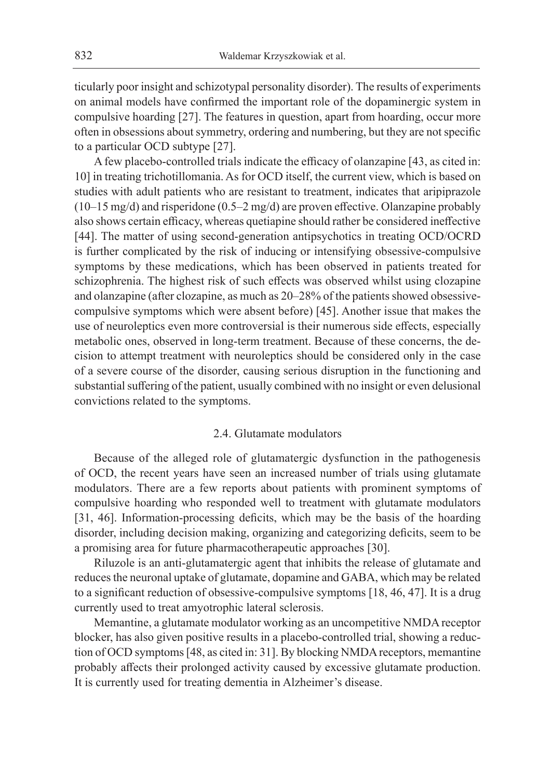ticularly poor insight and schizotypal personality disorder). The results of experiments on animal models have confirmed the important role of the dopaminergic system in compulsive hoarding [27]. The features in question, apart from hoarding, occur more often in obsessions about symmetry, ordering and numbering, but they are not specific to a particular OCD subtype [27].

A few placebo-controlled trials indicate the efficacy of olanzapine [43, as cited in: 10] in treating trichotillomania. As for OCD itself, the current view, which is based on studies with adult patients who are resistant to treatment, indicates that aripiprazole (10–15 mg/d) and risperidone (0.5–2 mg/d) are proven effective. Olanzapine probably also shows certain efficacy, whereas quetiapine should rather be considered ineffective [44]. The matter of using second-generation antipsychotics in treating OCD/OCRD is further complicated by the risk of inducing or intensifying obsessive-compulsive symptoms by these medications, which has been observed in patients treated for schizophrenia. The highest risk of such effects was observed whilst using clozapine and olanzapine (after clozapine, as much as 20–28% of the patients showed obsessivecompulsive symptoms which were absent before) [45]. Another issue that makes the use of neuroleptics even more controversial is their numerous side effects, especially metabolic ones, observed in long-term treatment. Because of these concerns, the decision to attempt treatment with neuroleptics should be considered only in the case of a severe course of the disorder, causing serious disruption in the functioning and substantial suffering of the patient, usually combined with no insight or even delusional convictions related to the symptoms.

#### 2.4. Glutamate modulators

Because of the alleged role of glutamatergic dysfunction in the pathogenesis of OCD, the recent years have seen an increased number of trials using glutamate modulators. There are a few reports about patients with prominent symptoms of compulsive hoarding who responded well to treatment with glutamate modulators [31, 46]. Information-processing deficits, which may be the basis of the hoarding disorder, including decision making, organizing and categorizing deficits, seem to be a promising area for future pharmacotherapeutic approaches [30].

Riluzole is an anti-glutamatergic agent that inhibits the release of glutamate and reduces the neuronal uptake of glutamate, dopamine and GABA, which may be related to a significant reduction of obsessive-compulsive symptoms [18, 46, 47]. It is a drug currently used to treat amyotrophic lateral sclerosis.

Memantine, a glutamate modulator working as an uncompetitive NMDA receptor blocker, has also given positive results in a placebo-controlled trial, showing a reduction of OCD symptoms [48, as cited in: 31]. By blocking NMDA receptors, memantine probably affects their prolonged activity caused by excessive glutamate production. It is currently used for treating dementia in Alzheimer's disease.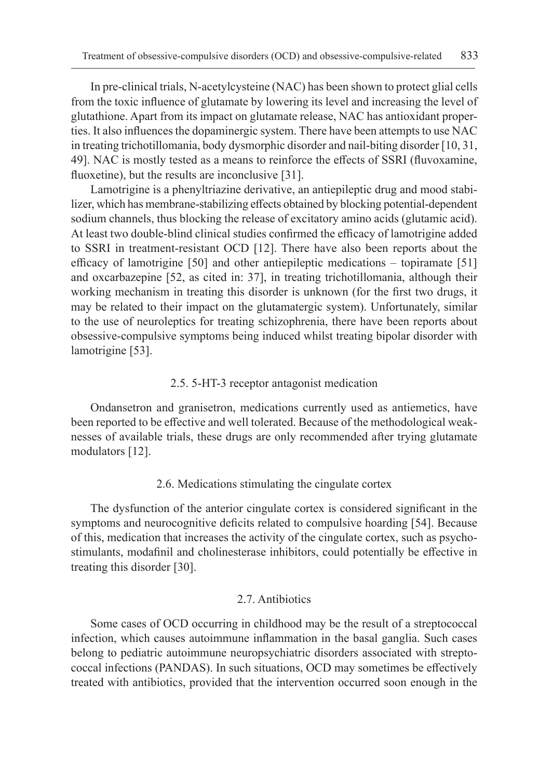In pre-clinical trials, N-acetylcysteine (NAC) has been shown to protect glial cells from the toxic influence of glutamate by lowering its level and increasing the level of glutathione. Apart from its impact on glutamate release, NAC has antioxidant properties. It also influences the dopaminergic system. There have been attempts to use NAC in treating trichotillomania, body dysmorphic disorder and nail-biting disorder [10, 31, 49]. NAC is mostly tested as a means to reinforce the effects of SSRI (fluvoxamine, fluoxetine), but the results are inconclusive [31].

Lamotrigine is a phenyltriazine derivative, an antiepileptic drug and mood stabilizer, which has membrane-stabilizing effects obtained by blocking potential-dependent sodium channels, thus blocking the release of excitatory amino acids (glutamic acid). At least two double-blind clinical studies confirmed the efficacy of lamotrigine added to SSRI in treatment-resistant OCD [12]. There have also been reports about the efficacy of lamotrigine [50] and other antiepileptic medications – topiramate [51] and oxcarbazepine [52, as cited in: 37], in treating trichotillomania, although their working mechanism in treating this disorder is unknown (for the first two drugs, it may be related to their impact on the glutamatergic system). Unfortunately, similar to the use of neuroleptics for treating schizophrenia, there have been reports about obsessive-compulsive symptoms being induced whilst treating bipolar disorder with lamotrigine [53].

## 2.5. 5-HT-3 receptor antagonist medication

Ondansetron and granisetron, medications currently used as antiemetics, have been reported to be effective and well tolerated. Because of the methodological weaknesses of available trials, these drugs are only recommended after trying glutamate modulators [12].

#### 2.6. Medications stimulating the cingulate cortex

The dysfunction of the anterior cingulate cortex is considered significant in the symptoms and neurocognitive deficits related to compulsive hoarding [54]. Because of this, medication that increases the activity of the cingulate cortex, such as psychostimulants, modafinil and cholinesterase inhibitors, could potentially be effective in treating this disorder [30].

## 2.7. Antibiotics

Some cases of OCD occurring in childhood may be the result of a streptococcal infection, which causes autoimmune inflammation in the basal ganglia. Such cases belong to pediatric autoimmune neuropsychiatric disorders associated with streptococcal infections (PANDAS). In such situations, OCD may sometimes be effectively treated with antibiotics, provided that the intervention occurred soon enough in the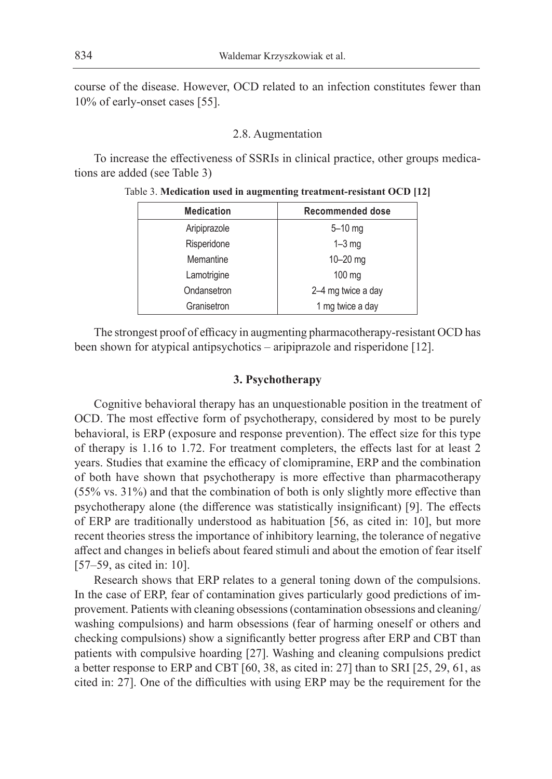course of the disease. However, OCD related to an infection constitutes fewer than 10% of early-onset cases [55].

## 2.8. Augmentation

To increase the effectiveness of SSRIs in clinical practice, other groups medications are added (see Table 3)

| <b>Medication</b> | Recommended dose   |  |
|-------------------|--------------------|--|
| Aripiprazole      | $5 - 10$ mg        |  |
| Risperidone       | $1-3$ mg           |  |
| Memantine         | $10 - 20$ mg       |  |
| Lamotrigine       | 100 mg             |  |
| Ondansetron       | 2-4 mg twice a day |  |
| Granisetron       | 1 mg twice a day   |  |
|                   |                    |  |

Table 3. **Medication used in augmenting treatment-resistant OCD [12]**

The strongest proof of efficacy in augmenting pharmacotherapy-resistant OCD has been shown for atypical antipsychotics – aripiprazole and risperidone [12].

# **3. Psychotherapy**

Cognitive behavioral therapy has an unquestionable position in the treatment of OCD. The most effective form of psychotherapy, considered by most to be purely behavioral, is ERP (exposure and response prevention). The effect size for this type of therapy is 1.16 to 1.72. For treatment completers, the effects last for at least 2 years. Studies that examine the efficacy of clomipramine, ERP and the combination of both have shown that psychotherapy is more effective than pharmacotherapy (55% vs. 31%) and that the combination of both is only slightly more effective than psychotherapy alone (the difference was statistically insignificant) [9]. The effects of ERP are traditionally understood as habituation [56, as cited in: 10], but more recent theories stress the importance of inhibitory learning, the tolerance of negative affect and changes in beliefs about feared stimuli and about the emotion of fear itself [57–59, as cited in: 10].

Research shows that ERP relates to a general toning down of the compulsions. In the case of ERP, fear of contamination gives particularly good predictions of improvement. Patients with cleaning obsessions (contamination obsessions and cleaning/ washing compulsions) and harm obsessions (fear of harming oneself or others and checking compulsions) show a significantly better progress after ERP and CBT than patients with compulsive hoarding [27]. Washing and cleaning compulsions predict a better response to ERP and CBT [60, 38, as cited in: 27] than to SRI [25, 29, 61, as cited in: 27]. One of the difficulties with using ERP may be the requirement for the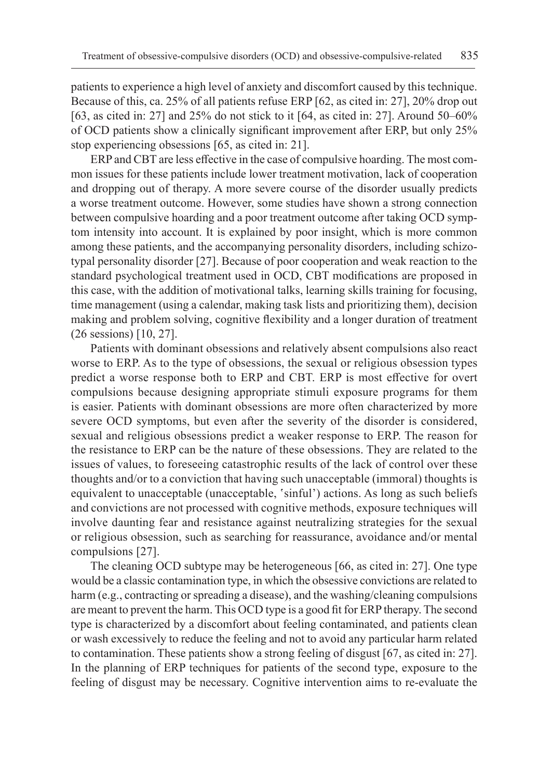patients to experience a high level of anxiety and discomfort caused by this technique. Because of this, ca. 25% of all patients refuse ERP [62, as cited in: 27], 20% drop out [63, as cited in: 27] and 25% do not stick to it [64, as cited in: 27]. Around 50–60% of OCD patients show a clinically significant improvement after ERP, but only 25% stop experiencing obsessions [65, as cited in: 21].

ERP and CBT are less effective in the case of compulsive hoarding. The most common issues for these patients include lower treatment motivation, lack of cooperation and dropping out of therapy. A more severe course of the disorder usually predicts a worse treatment outcome. However, some studies have shown a strong connection between compulsive hoarding and a poor treatment outcome after taking OCD symptom intensity into account. It is explained by poor insight, which is more common among these patients, and the accompanying personality disorders, including schizotypal personality disorder [27]. Because of poor cooperation and weak reaction to the standard psychological treatment used in OCD, CBT modifications are proposed in this case, with the addition of motivational talks, learning skills training for focusing, time management (using a calendar, making task lists and prioritizing them), decision making and problem solving, cognitive flexibility and a longer duration of treatment (26 sessions) [10, 27].

Patients with dominant obsessions and relatively absent compulsions also react worse to ERP. As to the type of obsessions, the sexual or religious obsession types predict a worse response both to ERP and CBT. ERP is most effective for overt compulsions because designing appropriate stimuli exposure programs for them is easier. Patients with dominant obsessions are more often characterized by more severe OCD symptoms, but even after the severity of the disorder is considered, sexual and religious obsessions predict a weaker response to ERP. The reason for the resistance to ERP can be the nature of these obsessions. They are related to the issues of values, to foreseeing catastrophic results of the lack of control over these thoughts and/or to a conviction that having such unacceptable (immoral) thoughts is equivalent to unacceptable (unacceptable, 'sinful') actions. As long as such beliefs and convictions are not processed with cognitive methods, exposure techniques will involve daunting fear and resistance against neutralizing strategies for the sexual or religious obsession, such as searching for reassurance, avoidance and/or mental compulsions [27].

The cleaning OCD subtype may be heterogeneous [66, as cited in: 27]. One type would be a classic contamination type, in which the obsessive convictions are related to harm (e.g., contracting or spreading a disease), and the washing/cleaning compulsions are meant to prevent the harm. This OCD type is a good fit for ERP therapy. The second type is characterized by a discomfort about feeling contaminated, and patients clean or wash excessively to reduce the feeling and not to avoid any particular harm related to contamination. These patients show a strong feeling of disgust [67, as cited in: 27]. In the planning of ERP techniques for patients of the second type, exposure to the feeling of disgust may be necessary. Cognitive intervention aims to re-evaluate the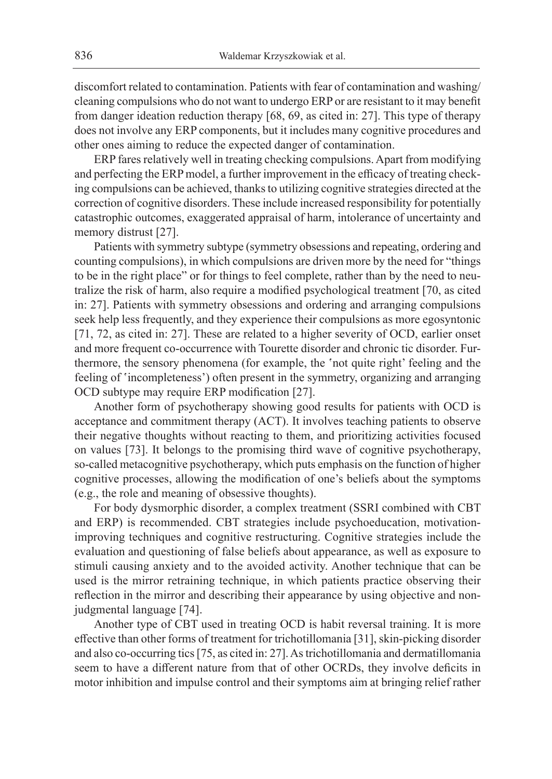discomfort related to contamination. Patients with fear of contamination and washing/ cleaning compulsions who do not want to undergo ERP or are resistant to it may benefit from danger ideation reduction therapy [68, 69, as cited in: 27]. This type of therapy does not involve any ERP components, but it includes many cognitive procedures and other ones aiming to reduce the expected danger of contamination.

ERP fares relatively well in treating checking compulsions. Apart from modifying and perfecting the ERP model, a further improvement in the efficacy of treating checking compulsions can be achieved, thanks to utilizing cognitive strategies directed at the correction of cognitive disorders. These include increased responsibility for potentially catastrophic outcomes, exaggerated appraisal of harm, intolerance of uncertainty and memory distrust [27].

Patients with symmetry subtype (symmetry obsessions and repeating, ordering and counting compulsions), in which compulsions are driven more by the need for "things to be in the right place" or for things to feel complete, rather than by the need to neutralize the risk of harm, also require a modified psychological treatment [70, as cited in: 27]. Patients with symmetry obsessions and ordering and arranging compulsions seek help less frequently, and they experience their compulsions as more egosyntonic [71, 72, as cited in: 27]. These are related to a higher severity of OCD, earlier onset and more frequent co-occurrence with Tourette disorder and chronic tic disorder. Furthermore, the sensory phenomena (for example, the 'not quite right' feeling and the feeling of 'incompleteness') often present in the symmetry, organizing and arranging OCD subtype may require ERP modification [27].

Another form of psychotherapy showing good results for patients with OCD is acceptance and commitment therapy (ACT). It involves teaching patients to observe their negative thoughts without reacting to them, and prioritizing activities focused on values [73]. It belongs to the promising third wave of cognitive psychotherapy, so-called metacognitive psychotherapy, which puts emphasis on the function of higher cognitive processes, allowing the modification of one's beliefs about the symptoms (e.g., the role and meaning of obsessive thoughts).

For body dysmorphic disorder, a complex treatment (SSRI combined with CBT and ERP) is recommended. CBT strategies include psychoeducation, motivationimproving techniques and cognitive restructuring. Cognitive strategies include the evaluation and questioning of false beliefs about appearance, as well as exposure to stimuli causing anxiety and to the avoided activity. Another technique that can be used is the mirror retraining technique, in which patients practice observing their reflection in the mirror and describing their appearance by using objective and nonjudgmental language [74].

Another type of CBT used in treating OCD is habit reversal training. It is more effective than other forms of treatment for trichotillomania [31], skin-picking disorder and also co-occurring tics [75, as cited in: 27]. As trichotillomania and dermatillomania seem to have a different nature from that of other OCRDs, they involve deficits in motor inhibition and impulse control and their symptoms aim at bringing relief rather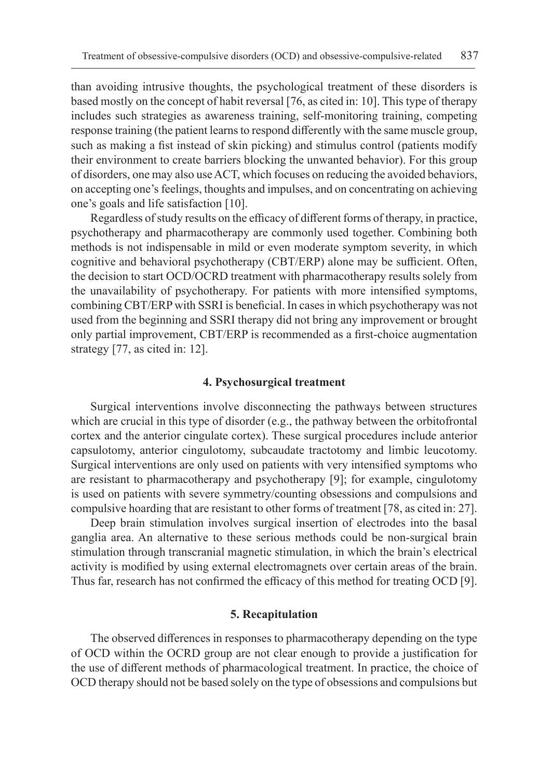than avoiding intrusive thoughts, the psychological treatment of these disorders is based mostly on the concept of habit reversal [76, as cited in: 10]. This type of therapy includes such strategies as awareness training, self-monitoring training, competing response training (the patient learns to respond differently with the same muscle group, such as making a fist instead of skin picking) and stimulus control (patients modify their environment to create barriers blocking the unwanted behavior). For this group of disorders, one may also use ACT, which focuses on reducing the avoided behaviors, on accepting one's feelings, thoughts and impulses, and on concentrating on achieving one's goals and life satisfaction [10].

Regardless of study results on the efficacy of different forms of therapy, in practice, psychotherapy and pharmacotherapy are commonly used together. Combining both methods is not indispensable in mild or even moderate symptom severity, in which cognitive and behavioral psychotherapy (CBT/ERP) alone may be sufficient. Often, the decision to start OCD/OCRD treatment with pharmacotherapy results solely from the unavailability of psychotherapy. For patients with more intensified symptoms, combining CBT/ERP with SSRI is beneficial. In cases in which psychotherapy was not used from the beginning and SSRI therapy did not bring any improvement or brought only partial improvement, CBT/ERP is recommended as a first-choice augmentation strategy [77, as cited in: 12].

#### **4. Psychosurgical treatment**

Surgical interventions involve disconnecting the pathways between structures which are crucial in this type of disorder (e.g., the pathway between the orbitofrontal cortex and the anterior cingulate cortex). These surgical procedures include anterior capsulotomy, anterior cingulotomy, subcaudate tractotomy and limbic leucotomy. Surgical interventions are only used on patients with very intensified symptoms who are resistant to pharmacotherapy and psychotherapy [9]; for example, cingulotomy is used on patients with severe symmetry/counting obsessions and compulsions and compulsive hoarding that are resistant to other forms of treatment [78, as cited in: 27].

Deep brain stimulation involves surgical insertion of electrodes into the basal ganglia area. An alternative to these serious methods could be non-surgical brain stimulation through transcranial magnetic stimulation, in which the brain's electrical activity is modified by using external electromagnets over certain areas of the brain. Thus far, research has not confirmed the efficacy of this method for treating OCD [9].

## **5. Recapitulation**

The observed differences in responses to pharmacotherapy depending on the type of OCD within the OCRD group are not clear enough to provide a justification for the use of different methods of pharmacological treatment. In practice, the choice of OCD therapy should not be based solely on the type of obsessions and compulsions but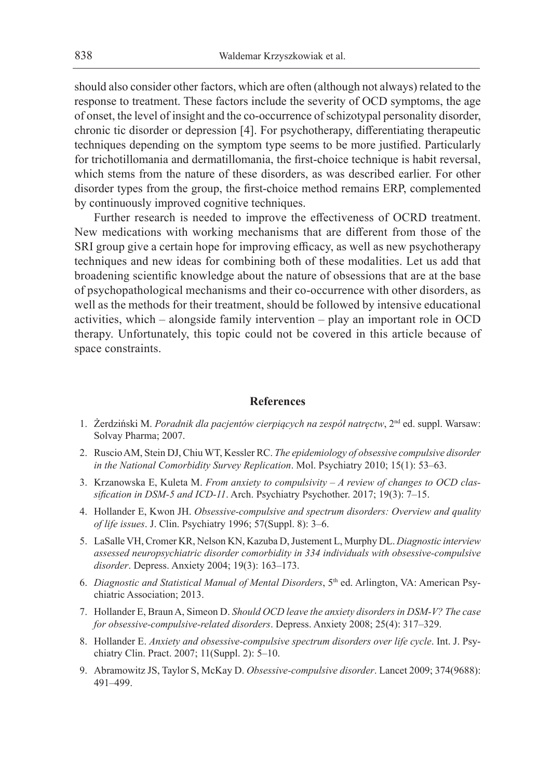should also consider other factors, which are often (although not always) related to the response to treatment. These factors include the severity of OCD symptoms, the age of onset, the level of insight and the co-occurrence of schizotypal personality disorder, chronic tic disorder or depression [4]. For psychotherapy, differentiating therapeutic techniques depending on the symptom type seems to be more justified. Particularly for trichotillomania and dermatillomania, the first-choice technique is habit reversal, which stems from the nature of these disorders, as was described earlier. For other disorder types from the group, the first-choice method remains ERP, complemented by continuously improved cognitive techniques.

Further research is needed to improve the effectiveness of OCRD treatment. New medications with working mechanisms that are different from those of the SRI group give a certain hope for improving efficacy, as well as new psychotherapy techniques and new ideas for combining both of these modalities. Let us add that broadening scientific knowledge about the nature of obsessions that are at the base of psychopathological mechanisms and their co-occurrence with other disorders, as well as the methods for their treatment, should be followed by intensive educational activities, which – alongside family intervention – play an important role in OCD therapy. Unfortunately, this topic could not be covered in this article because of space constraints.

#### **References**

- 1. Żerdziński M. Poradnik dla pacjentów cierpiących na zespół natręctw, 2<sup>nd</sup> ed. suppl. Warsaw: Solvay Pharma; 2007.
- 2. Ruscio AM, Stein DJ, Chiu WT, Kessler RC. *The epidemiology of obsessive compulsive disorder in the National Comorbidity Survey Replication*. Mol. Psychiatry 2010; 15(1): 53–63.
- 3. Krzanowska E, Kuleta M. *From anxiety to compulsivity A review of changes to OCD classification in DSM-5 and ICD-11*. Arch. Psychiatry Psychother. 2017; 19(3): 7–15.
- 4. Hollander E, Kwon JH. *Obsessive-compulsive and spectrum disorders: Overview and quality of life issues*. J. Clin. Psychiatry 1996; 57(Suppl. 8): 3–6.
- 5. LaSalle VH, Cromer KR, Nelson KN, Kazuba D, Justement L, Murphy DL. *Diagnostic interview assessed neuropsychiatric disorder comorbidity in 334 individuals with obsessive-compulsive disorder*. Depress. Anxiety 2004; 19(3): 163–173.
- 6. *Diagnostic and Statistical Manual of Mental Disorders*, 5th ed. Arlington, VA: American Psychiatric Association; 2013.
- 7. Hollander E, Braun A, Simeon D. *Should OCD leave the anxiety disorders in DSM-V? The case for obsessive-compulsive-related disorders*. Depress. Anxiety 2008; 25(4): 317–329.
- 8. Hollander E. *Anxiety and obsessive-compulsive spectrum disorders over life cycle*. Int. J. Psychiatry Clin. Pract. 2007; 11(Suppl. 2): 5–10.
- 9. Abramowitz JS, Taylor S, McKay D. *Obsessive-compulsive disorder*. Lancet 2009; 374(9688): 491–499.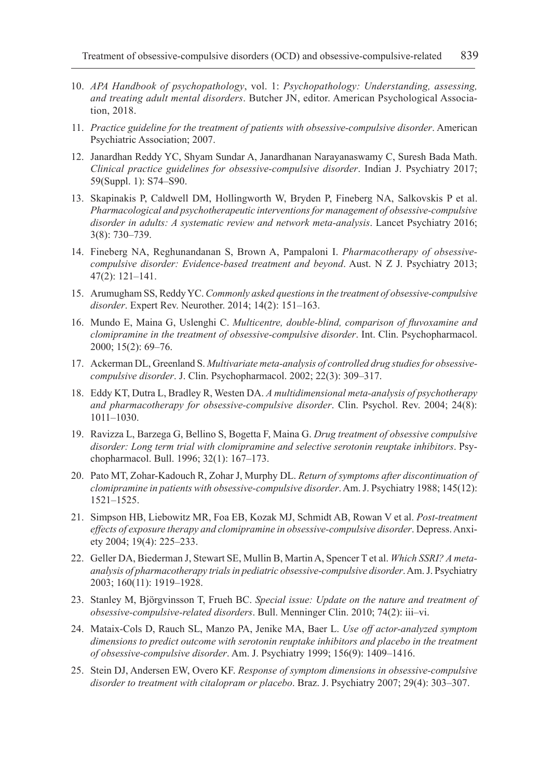- 10. *APA Handbook of psychopathology*, vol. 1: *Psychopathology: Understanding, assessing, and treating adult mental disorders*. Butcher JN, editor. American Psychological Association, 2018.
- 11. *Practice guideline for the treatment of patients with obsessive-compulsive disorder*. American Psychiatric Association; 2007.
- 12. Janardhan Reddy YC, Shyam Sundar A, Janardhanan Narayanaswamy C, Suresh Bada Math. *Clinical practice guidelines for obsessive-compulsive disorder*. Indian J. Psychiatry 2017; 59(Suppl. 1): S74–S90.
- 13. Skapinakis P, Caldwell DM, Hollingworth W, Bryden P, Fineberg NA, Salkovskis P et al. *Pharmacological and psychotherapeutic interventions for management of obsessive-compulsive disorder in adults: A systematic review and network meta-analysis*. Lancet Psychiatry 2016; 3(8): 730–739.
- 14. Fineberg NA, Reghunandanan S, Brown A, Pampaloni I. *Pharmacotherapy of obsessivecompulsive disorder: Evidence-based treatment and beyond*. Aust. N Z J. Psychiatry 2013; 47(2): 121–141.
- 15. Arumugham SS, Reddy YC. *Commonly asked questions in the treatment of obsessive-compulsive disorder*. Expert Rev. Neurother. 2014; 14(2): 151–163.
- 16. Mundo E, Maina G, Uslenghi C. *Multicentre, double-blind, comparison of fluvoxamine and clomipramine in the treatment of obsessive-compulsive disorder*. Int. Clin. Psychopharmacol. 2000; 15(2): 69–76.
- 17. Ackerman DL, Greenland S. *Multivariate meta-analysis of controlled drug studies for obsessivecompulsive disorder*. J. Clin. Psychopharmacol. 2002; 22(3): 309–317.
- 18. Eddy KT, Dutra L, Bradley R, Westen DA. *A multidimensional meta-analysis of psychotherapy and pharmacotherapy for obsessive-compulsive disorder*. Clin. Psychol. Rev. 2004; 24(8): 1011–1030.
- 19. Ravizza L, Barzega G, Bellino S, Bogetta F, Maina G. *Drug treatment of obsessive compulsive disorder: Long term trial with clomipramine and selective serotonin reuptake inhibitors*. Psychopharmacol. Bull. 1996; 32(1): 167–173.
- 20. Pato MT, Zohar-Kadouch R, Zohar J, Murphy DL. *Return of symptoms after discontinuation of clomipramine in patients with obsessive-compulsive disorder*. Am. J. Psychiatry 1988; 145(12): 1521–1525.
- 21. Simpson HB, Liebowitz MR, Foa EB, Kozak MJ, Schmidt AB, Rowan V et al. *Post-treatment effects of exposure therapy and clomipramine in obsessive-compulsive disorder*. Depress. Anxiety 2004; 19(4): 225–233.
- 22. Geller DA, Biederman J, Stewart SE, Mullin B, Martin A, Spencer T et al. *Which SSRI? A metaanalysis of pharmacotherapy trials in pediatric obsessive-compulsive disorder*. Am. J. Psychiatry 2003; 160(11): 1919–1928.
- 23. Stanley M, Björgvinsson T, Frueh BC. *Special issue: Update on the nature and treatment of obsessive-compulsive-related disorders*. Bull. Menninger Clin. 2010; 74(2): iii–vi.
- 24. Mataix-Cols D, Rauch SL, Manzo PA, Jenike MA, Baer L. *Use off actor-analyzed symptom dimensions to predict outcome with serotonin reuptake inhibitors and placebo in the treatment of obsessive-compulsive disorder*. Am. J. Psychiatry 1999; 156(9): 1409–1416.
- 25. Stein DJ, Andersen EW, Overo KF. *Response of symptom dimensions in obsessive-compulsive disorder to treatment with citalopram or placebo*. Braz. J. Psychiatry 2007; 29(4): 303–307.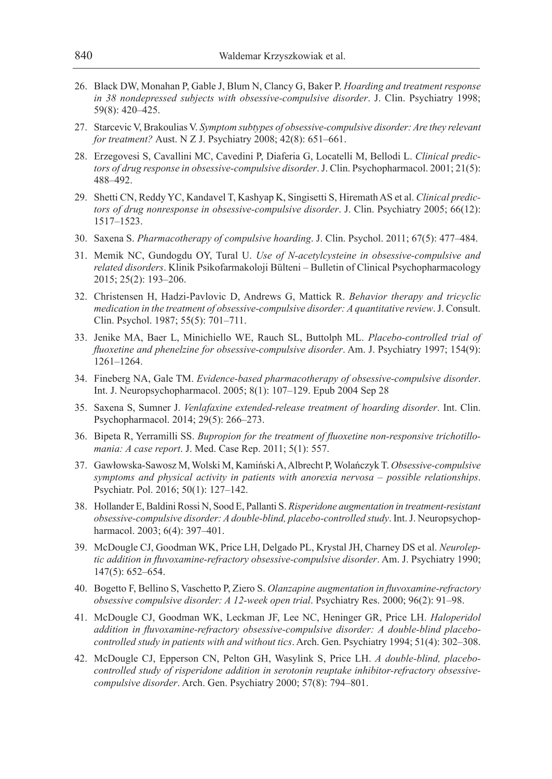- 26. Black DW, Monahan P, Gable J, Blum N, Clancy G, Baker P. *Hoarding and treatment response in 38 nondepressed subjects with obsessive-compulsive disorder*. J. Clin. Psychiatry 1998; 59(8): 420–425.
- 27. Starcevic V, Brakoulias V. *Symptom subtypes of obsessive-compulsive disorder: Are they relevant for treatment?* Aust. N Z J. Psychiatry 2008; 42(8): 651–661.
- 28. Erzegovesi S, Cavallini MC, Cavedini P, Diaferia G, Locatelli M, Bellodi L. *Clinical predictors of drug response in obsessive-compulsive disorder*. J. Clin. Psychopharmacol. 2001; 21(5): 488–492.
- 29. Shetti CN, Reddy YC, Kandavel T, Kashyap K, Singisetti S, Hiremath AS et al. *Clinical predictors of drug nonresponse in obsessive-compulsive disorder*. J. Clin. Psychiatry 2005; 66(12): 1517–1523.
- 30. Saxena S. *Pharmacotherapy of compulsive hoarding*. J. Clin. Psychol. 2011; 67(5): 477–484.
- 31. Memik NC, Gundogdu OY, Tural U. *Use of N-acetylcysteine in obsessive-compulsive and related disorders*. Klinik Psikofarmakoloji Bülteni – Bulletin of Clinical Psychopharmacology 2015; 25(2): 193–206.
- 32. Christensen H, Hadzi-Pavlovic D, Andrews G, Mattick R. *Behavior therapy and tricyclic medication in the treatment of obsessive-compulsive disorder: A quantitative review*. J. Consult. Clin. Psychol. 1987; 55(5): 701–711.
- 33. Jenike MA, Baer L, Minichiello WE, Rauch SL, Buttolph ML. *Placebo-controlled trial of fluoxetine and phenelzine for obsessive-compulsive disorder*. Am. J. Psychiatry 1997; 154(9): 1261–1264.
- 34. Fineberg NA, Gale TM. *Evidence-based pharmacotherapy of obsessive-compulsive disorder*. Int. J. Neuropsychopharmacol. 2005; 8(1): 107–129. Epub 2004 Sep 28
- 35. Saxena S, Sumner J. *Venlafaxine extended-release treatment of hoarding disorder*. Int. Clin. Psychopharmacol. 2014; 29(5): 266–273.
- 36. Bipeta R, Yerramilli SS. *Bupropion for the treatment of fluoxetine non-responsive trichotillomania: A case report*. J. Med. Case Rep. 2011; 5(1): 557.
- 37. Gawłowska-Sawosz M, Wolski M, Kamiński A, Albrecht P, Wolańczyk T. *Obsessive-compulsive symptoms and physical activity in patients with anorexia nervosa – possible relationships*. Psychiatr. Pol. 2016; 50(1): 127–142.
- 38. Hollander E, Baldini Rossi N, Sood E, Pallanti S. *Risperidone augmentation in treatment-resistant obsessive-compulsive disorder: A double-blind, placebo-controlled study*. Int. J. Neuropsychopharmacol. 2003; 6(4): 397–401.
- 39. McDougle CJ, Goodman WK, Price LH, Delgado PL, Krystal JH, Charney DS et al. *Neuroleptic addition in fluvoxamine-refractory obsessive-compulsive disorder*. Am. J. Psychiatry 1990; 147(5): 652–654.
- 40. Bogetto F, Bellino S, Vaschetto P, Ziero S. *Olanzapine augmentation in fluvoxamine-refractory obsessive compulsive disorder: A 12-week open trial*. Psychiatry Res. 2000; 96(2): 91–98.
- 41. McDougle CJ, Goodman WK, Leckman JF, Lee NC, Heninger GR, Price LH. *Haloperidol addition in fluvoxamine-refractory obsessive-compulsive disorder: A double-blind placebocontrolled study in patients with and without tics*. Arch. Gen. Psychiatry 1994; 51(4): 302–308.
- 42. McDougle CJ, Epperson CN, Pelton GH, Wasylink S, Price LH. *A double-blind, placebocontrolled study of risperidone addition in serotonin reuptake inhibitor-refractory obsessivecompulsive disorder*. Arch. Gen. Psychiatry 2000; 57(8): 794–801.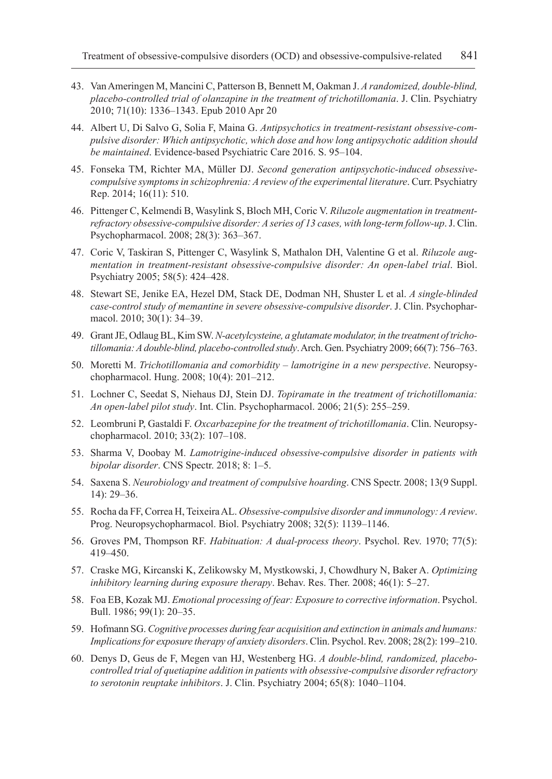- 43. Van Ameringen M, Mancini C, Patterson B, Bennett M, Oakman J. *A randomized, double-blind, placebo-controlled trial of olanzapine in the treatment of trichotillomania*. J. Clin. Psychiatry 2010; 71(10): 1336–1343. Epub 2010 Apr 20
- 44. Albert U, Di Salvo G, Solia F, Maina G. *Antipsychotics in treatment-resistant obsessive-compulsive disorder: Which antipsychotic, which dose and how long antipsychotic addition should be maintained*. Evidence-based Psychiatric Care 2016. S. 95–104.
- 45. Fonseka TM, Richter MA, Müller DJ. *Second generation antipsychotic-induced obsessivecompulsive symptoms in schizophrenia: A review of the experimental literature*. Curr. Psychiatry Rep. 2014; 16(11): 510.
- 46. Pittenger C, Kelmendi B, Wasylink S, Bloch MH, Coric V. *Riluzole augmentation in treatmentrefractory obsessive-compulsive disorder: A series of 13 cases, with long-term follow-up*. J. Clin. Psychopharmacol. 2008; 28(3): 363–367.
- 47. Coric V, Taskiran S, Pittenger C, Wasylink S, Mathalon DH, Valentine G et al. *Riluzole augmentation in treatment-resistant obsessive-compulsive disorder: An open-label trial*. Biol. Psychiatry 2005; 58(5): 424–428.
- 48. Stewart SE, Jenike EA, Hezel DM, Stack DE, Dodman NH, Shuster L et al. *A single-blinded case-control study of memantine in severe obsessive-compulsive disorder*. J. Clin. Psychopharmacol. 2010; 30(1): 34-39.
- 49. Grant JE, Odlaug BL, Kim SW. *N-acetylcysteine, a glutamate modulator, in the treatment of trichotillomania: A double-blind, placebo-controlled study*. Arch. Gen. Psychiatry 2009; 66(7): 756–763.
- 50. Moretti M. *Trichotillomania and comorbidity lamotrigine in a new perspective*. Neuropsychopharmacol. Hung. 2008; 10(4): 201–212.
- 51. Lochner C, Seedat S, Niehaus DJ, Stein DJ. *Topiramate in the treatment of trichotillomania: An open-label pilot study*. Int. Clin. Psychopharmacol. 2006; 21(5): 255–259.
- 52. Leombruni P, Gastaldi F. *Oxcarbazepine for the treatment of trichotillomania*. Clin. Neuropsychopharmacol. 2010; 33(2): 107–108.
- 53. Sharma V, Doobay M. *Lamotrigine-induced obsessive-compulsive disorder in patients with bipolar disorder*. CNS Spectr. 2018; 8: 1–5.
- 54. Saxena S. *Neurobiology and treatment of compulsive hoarding*. CNS Spectr. 2008; 13(9 Suppl. 14): 29–36.
- 55. Rocha da FF, Correa H, Teixeira AL. *Obsessive-compulsive disorder and immunology: A review*. Prog. Neuropsychopharmacol. Biol. Psychiatry 2008; 32(5): 1139–1146.
- 56. Groves PM, Thompson RF. *Habituation: A dual-process theory*. Psychol. Rev. 1970; 77(5): 419–450.
- 57. Craske MG, Kircanski K, Zelikowsky M, Mystkowski, J, Chowdhury N, Baker A. *Optimizing inhibitory learning during exposure therapy*. Behav. Res. Ther. 2008; 46(1): 5–27.
- 58. Foa EB, Kozak MJ. *Emotional processing of fear: Exposure to corrective information*. Psychol. Bull. 1986; 99(1): 20–35.
- 59. Hofmann SG. *Cognitive processes during fear acquisition and extinction in animals and humans: Implications for exposure therapy of anxiety disorders*. Clin. Psychol. Rev. 2008; 28(2): 199–210.
- 60. Denys D, Geus de F, Megen van HJ, Westenberg HG. *A double-blind, randomized, placebocontrolled trial of quetiapine addition in patients with obsessive-compulsive disorder refractory to serotonin reuptake inhibitors*. J. Clin. Psychiatry 2004; 65(8): 1040–1104.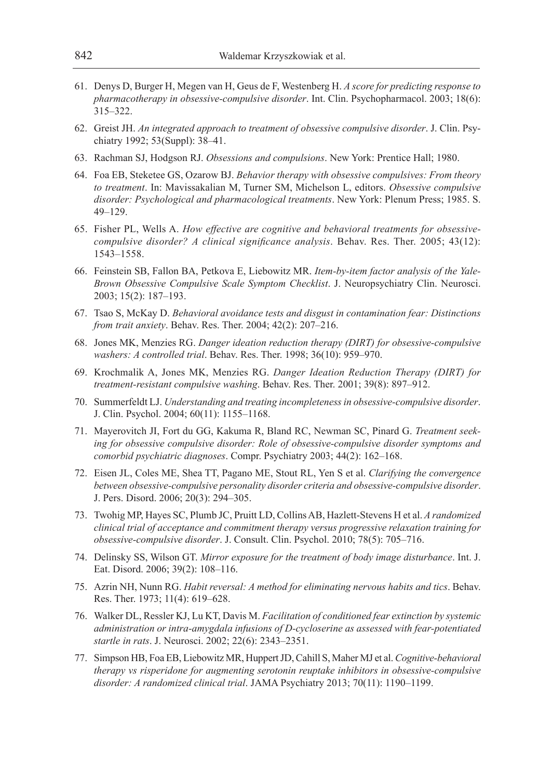- 61. Denys D, Burger H, Megen van H, Geus de F, Westenberg H. *A score for predicting response to pharmacotherapy in obsessive-compulsive disorder*. Int. Clin. Psychopharmacol. 2003; 18(6): 315–322.
- 62. Greist JH. *An integrated approach to treatment of obsessive compulsive disorder*. J. Clin. Psychiatry 1992; 53(Suppl): 38–41.
- 63. Rachman SJ, Hodgson RJ. *Obsessions and compulsions*. New York: Prentice Hall; 1980.
- 64. Foa EB, Steketee GS, Ozarow BJ. *Behavior therapy with obsessive compulsives: From theory to treatment*. In: Mavissakalian M, Turner SM, Michelson L, editors. *Obsessive compulsive disorder: Psychological and pharmacological treatments*. New York: Plenum Press; 1985. S. 49–129.
- 65. Fisher PL, Wells A. *How effective are cognitive and behavioral treatments for obsessivecompulsive disorder? A clinical significance analysis*. Behav. Res. Ther. 2005; 43(12): 1543–1558.
- 66. Feinstein SB, Fallon BA, Petkova E, Liebowitz MR. *Item-by-item factor analysis of the Yale-Brown Obsessive Compulsive Scale Symptom Checklist*. J. Neuropsychiatry Clin. Neurosci. 2003; 15(2): 187–193.
- 67. Tsao S, McKay D. *Behavioral avoidance tests and disgust in contamination fear: Distinctions from trait anxiety*. Behav. Res. Ther. 2004; 42(2): 207–216.
- 68. Jones MK, Menzies RG. *Danger ideation reduction therapy (DIRT) for obsessive-compulsive washers: A controlled trial*. Behav. Res. Ther. 1998; 36(10): 959–970.
- 69. Krochmalik A, Jones MK, Menzies RG. *Danger Ideation Reduction Therapy (DIRT) for treatment-resistant compulsive washing*. Behav. Res. Ther. 2001; 39(8): 897–912.
- 70. Summerfeldt LJ. *Understanding and treating incompleteness in obsessive-compulsive disorder*. J. Clin. Psychol. 2004; 60(11): 1155–1168.
- 71. Mayerovitch JI, Fort du GG, Kakuma R, Bland RC, Newman SC, Pinard G. *Treatment seeking for obsessive compulsive disorder: Role of obsessive-compulsive disorder symptoms and comorbid psychiatric diagnoses*. Compr. Psychiatry 2003; 44(2): 162–168.
- 72. Eisen JL, Coles ME, Shea TT, Pagano ME, Stout RL, Yen S et al. *Clarifying the convergence between obsessive-compulsive personality disorder criteria and obsessive-compulsive disorder*. J. Pers. Disord. 2006; 20(3): 294–305.
- 73. Twohig MP, Hayes SC, Plumb JC, Pruitt LD, Collins AB, Hazlett-Stevens H et al. *A randomized clinical trial of acceptance and commitment therapy versus progressive relaxation training for obsessive-compulsive disorder*. J. Consult. Clin. Psychol. 2010; 78(5): 705–716.
- 74. Delinsky SS, Wilson GT. *Mirror exposure for the treatment of body image disturbance*. Int. J. Eat. Disord. 2006; 39(2): 108–116.
- 75. Azrin NH, Nunn RG. *Habit reversal: A method for eliminating nervous habits and tics*. Behav. Res. Ther. 1973; 11(4): 619–628.
- 76. Walker DL, Ressler KJ, Lu KT, Davis M. *Facilitation of conditioned fear extinction by systemic administration or intra-amygdala infusions of D-cycloserine as assessed with fear-potentiated startle in rats*. J. Neurosci. 2002; 22(6): 2343–2351.
- 77. Simpson HB, Foa EB, Liebowitz MR, Huppert JD, Cahill S, Maher MJ et al. *Cognitive-behavioral therapy vs risperidone for augmenting serotonin reuptake inhibitors in obsessive-compulsive disorder: A randomized clinical trial*. JAMA Psychiatry 2013; 70(11): 1190–1199.